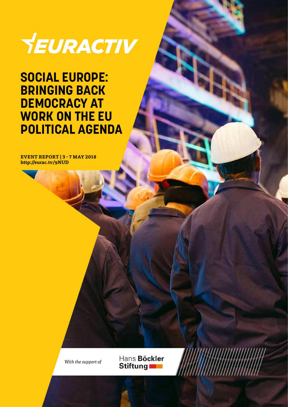

### **SOCIAL EUROPE: BRINGING BACK DEMOCRACY AT WORK ON THE EU POLITICAL AGENDA**

**EVENT REPORT | 3 - 7 MAY 2018 http://eurac.tv/9NUD**



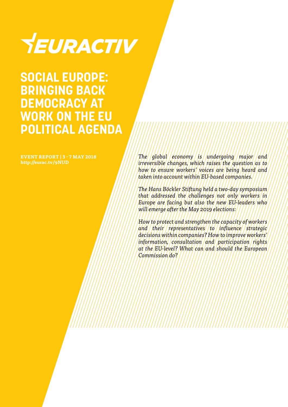# YEURACTIV

### **SOCIAL EUROPE: BRINGING BACK DEMOCRACY AT WORK ON THE EU POLITICAL AGENDA**

**EVENT REPORT | 3 - 7 MAY 2018 http://eurac.tv/9NUD**

*The global economy is undergoing major and irreversible changes, which raises the question as to how to ensure workers' voices are being heard and taken into account within EU-based companies.*

*The Hans Böckler Stiftung held a two-day symposium that addressed the challenges not only workers in Europe are facing but also the new EU-leaders who will emerge after the May 2019 elections:*

*How to protect and strengthen the capacity of workers and their representatives to influence strategic decisions within companies? How to improve workers' information, consultation and participation rights at the EU-level? What can and should the European Commission do?*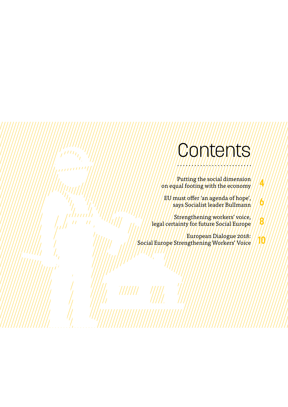### COMMONTS

**4**

**6**

**8**

**10**

Putting the social dimension on equal footing with the economy

EU must offer 'an agenda of hope', says Socialist leader Bullmann

Strengthening workers' voice, legal certainty for future Social Europe

European Dialogue 2018: Social Europe Strengthening Workers' Voice

WIIII.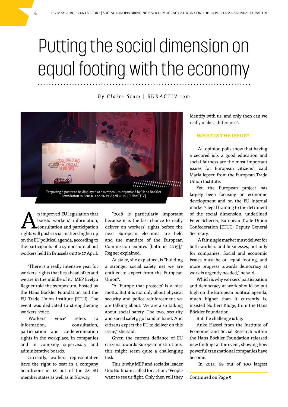## Putting the social dimension on equal footing with the economy

*B y C l a i r e S t a m | E U R A C T I V. c o m*



An improved EU legislation that<br>boosts workers' information,<br>consultation and participation boosts workers' information, consultation and participation rights will push social matters higher up on the EU political agenda, according to the participants of a symposium about workers held in Brussels on 26-27 April.

"There is a really intensive year for workers' rights that lies ahead of us and we are in the middle of it," MEP Evelyn Regner told the symposium, hosted by the Hans Böckler Foundation and the EU Trade Union Institute (ETUI). The event was dedicated to strengthening workers' voice.

'Workers' voice' refers to information, consultation, participation and co-determination rights in the workplace, in companies and in company supervisory and administrative boards.

Currently, workers representative have the right to seat in a company boardroom in 18 out of the 28 EU member states as well as in Norway.

"2018 is particularly important because it is the last chance to really deliver on workers' rights before the next European elections are held and the mandate of the European Commission expires [both in 2019]," Regner explained.

At stake, she explained, is "building a stronger social safety net we are entitled to expect from the European Union".

"A 'Europe that protects' is a nice motto. But it is not only about physical security and police reinforcement we are talking about. We are also talking about social safety. The two, security and social safety, go hand in hand. And citizens expect the EU to deliver on this issue," she said.

Given the current defiance of EU citizens towards European institutions, this might seem quite a challenging task.

This is why MEP and socialist leader Udo Bullmann called for action: "People want to see us fight. Only then will they identify with us, and only then can we really make a difference".

#### **WHAT IS THE ISSUE?**

"All opinion polls show that having a secured job, a good education and social fairness are the most important issues for European citizens", said Maria Jepsen from the European Trade Union Institute.

Yet, the European project has largely been focusing on economic development and on the EU internal market's legal framing to the detriment of the social dimension, underlined Peter Scherrer, European Trade Union Confederation (ETUC) Deputy General Secretary.

"A fair single market must deliver for both workers and businesses, not only for companies. Social and economic issues must be on equal footing, and more progress towards democracy at work is urgently needed," he said.

Which is why workers' participation and democracy at work should be put high on the European political agenda, much higher than it currently is, insisted Norbert Kluge, from the Hans Böckler Foundation.

But the challenge is big.

Anke Hassel from the Institute of Economic and Social Research within the Hans Böckler Foundation released new findings at the event, showing how powerful transnational companies have become.

"In 2015, 69 out of 100 largest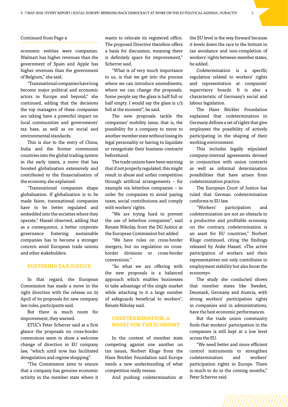#### Continued from Page 4

economic entities were companies. Walmart has higher revenues than the government of Spain and Apple has higher revenues than the government of Belgium," she said.

"Transnational companies have long become major political and economic actors in Europe and beyond," she continued, adding that the decisions the top managers of these companies are taking have a powerful impact on local communities and governments' tax base, as well as on social and environmental standards.

This is due to the entry of China, India and the former communist countries into the global trading system in the early 1990s, a move that has boosted globalisation extensively and contributed to the financialisation of the economy, she explained.

"Transnational companies shape globalisation. If globalisation is to be made fairer, transnational companies have to be better regulated and embedded into the societies where they operate," Hassel observed, adding that as a consequence, a better corporate governance fostering sustainable companies has to become a stronger concern amid European trade unions and other stakeholders.

#### **FOSTERING TAX JUSTICE**

In that regard, the European Commission has made a move in the right direction with the release on 25 April of its proposals for new company law rules, participants said.

But there is much room for improvement, they warned.

ETUC's Peter Scherrer said at a first glance the proposals on cross-border conversions seem to show a welcome change of direction in EU company law, "which until now has facilitated deregulation and regime shopping".

"The Commission aims to ensure that a company has genuine economic activity in the member state where it wants to relocate its registered office. The proposed Directive therefore offers a basis for discussion, meaning there is definitely space for improvement," Scherrer said.

"What is of very much importance to us, is that we get into the process where we can introduce amendments, where we can change the proposals. Some people say the glass is half full or half empty. I would say the glass is 1/3 full at the moment", he said.

The new proposals tackle the companies' mobility issue, that is, the possibility for a company to move to another member state without losing its legal personality or having to liquidate or renegotiate their business contracts beforehand.

The trade unions have been warning that if not properly regulated, this might result in abuse and unfair competition through artificial arrangements – for example via letterbox companies – in order for companies to avoid paying taxes, social contributions and comply with workers' rights.

"We are trying hard to prevent the use of letterbox companies", said Renate Nikolay, from the DG Justice at the European Commission but added:

"We have rules on cross-border mergers, but no regulation on crossborder divisions or cross-border conversions."

"So what we are offering with the new proposals is a balanced approach which enables businesses to take advantage of the single market while attaching to it a large number of safeguards beneficial to workers", Renate Nikolay said.

#### **CODETERMINATION, A BOOST FOR THE ECONOMY**

In the context of member state competing against one another on tax issues, Norbert Kluge from the Hans Böckler Foundation said Europe needs a new understanding of what competition really means.

And pushing codetermination at

the EU level is the way forward because it levels down the race to the bottom in tax avoidance and non-completion of workers' rights between member states, he added.

Codetermination is a specific regulation related to workers' rights and representation at companies' supervisory boards. It is also a characteristic of Germany's social and labour legislation.

The Hans Böckler Foundation explained that codetermination in Germany defines a set of rights that give employees the possibility of actively participating in the shaping of their working environment.

This includes legally stipulated company-internal agreements devised in conjunction with union contracts as well as informal determination possibilities that have arisen from codetermination practice.

The European Court of Justice has ruled that German codetermination conforms to EU law.

"Workers' participation and codetermination are not an obstacle to a productive and profitable economy, on the contrary, codetermination is an asset for EU countries," Norbert Kluge continued, citing the findings released by Anke Hassel. «The active participation of workers and their representatives not only contributes to employment stability but also boost the economy».

The study she conducted shows that member states like Sweden, Denmark, Germany and Austria, with strong workers' participation rights in companies and in administrations, have the best economic performances.

But the trade union community finds that workers' participation in the companies is still kept at a low level across the EU.

"We need better and more efficient control instruments to strengthen codetermination and workers' participation rights in Europe. There is much to do in the coming months," Peter Scherrer said.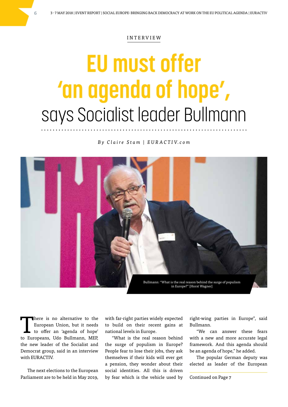#### INTERVIEW

# **EU must offer 'an agenda of hope',** says Socialist leader Bullmann

*B y C l a i r e S t a m | E U R A C T I V. c o m*



There is no alternative to the<br>European Union, but it needs<br>to offer an 'agenda of hope' European Union, but it needs to offer an 'agenda of hope' to Europeans, Udo Bullmann, MEP, the new leader of the Socialist and Democrat group, said in an interview with EURACTIV.

The next elections to the European Parliament are to be held in May 2019,

with far-right parties widely expected to build on their recent gains at national levels in Europe.

"What is the real reason behind the surge of populism in Europe? People fear to lose their jobs, they ask themselves if their kids will ever get a pension, they wonder about their social identities. All this is driven by fear which is the vehicle used by

right-wing parties in Europe", said Bullmann.

"We can answer these fears with a new and more accurate legal framework. And this agenda should be an agenda of hope," he added.

The popular German deputy was elected as leader of the European

Continued on Page 7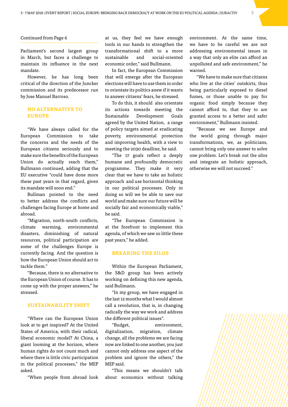#### Continued from Page 6

Parliament's second largest group in March, but faces a challenge to maintain its influence in the next mandate.

However, he has long been critical of the direction of the Juncker commission and its predecessor run by Jose Manuel Barroso.

#### **NO ALTERNATIVE TO EUROPE**

"We have always called for the European Commission to take the concerns and the needs of the European citizens seriously and to make sure the benefits of the European Union do actually reach them," Bullmann continued, adding that the EU executive "could have done more these past years in that regard, given its mandate will soon end."

Bullman pointed to the need to better address the conflicts and challenges facing Europe at home and abroad.

"Migration, north-south conflicts, climate warming, environmental disasters, diminishing of natural resources, political participation are some of the challenges Europe is currently facing. And the question is how the European Union should act to tackle them."

"Because, there is no alternative to the European Union of course. It has to come up with the proper answers," he stressed.

#### **SUSTAINABILITY SHIFT**

"Where can the European Union look at to get inspired? At the United States of America, with their radical, liberal economic model? At China, a giant looming at the horizon, where human rights do not count much and where there is little civic participation in the political processes," the MEP asked.

"When people from abroad look

at us, they feel we have enough tools in our hands to strengthen the transformational shift to a more sustainable and social-oriented economic order," said Bullmann.

In fact, the European Commission that will emerge after the European elections will have to use them in order to orientate its politics anew if it wants to answer citizens' fears, he stressed.

To do this, it should also orientate its actions towards meeting the Sustainable Development Goals agreed by the United Nation, a range of policy targets aimed at eradicating poverty, environmental protection and improving health, with a view to meeting the 2030 deadline, he said.

"The 17 goals reflect a deeply humane and profoundly democratic programme. They make it very clear that we have to take an holistic approach and use horizontal thinking in our political processes. Only in doing so will we be able to save our world and make sure our future will be socially fair and economically viable," he said.

"The European Commission is at the forefront to implement this agenda, of which we saw so little these past years," he added.

#### **BREAKING THE SILOS**

Within the European Parliament, the S&D group has been actively working on defining this new agenda, said Bullmann.

"In my group, we have engaged in the last 12 months what I would almost call a revolution, that is, in changing radically the way we work and address the different political issues".

"Budget, environment, digitalization, migration, climate change, all the problems we are facing now are linked to one another, you just cannot only address one aspect of the problem and ignore the others," the MEP said.

"This means we shouldn't talk about economics without talking environment. At the same time, we have to be careful we are not addressing environmental issues in a way that only an elite can afford an unpolluted and safe environment," he warned.

"We have to make sure that citizens who live at the cities' outskirts, thus being particularly exposed to diesel fumes, or those unable to pay for organic food simply because they cannot afford to, that they to are granted access to a better and safer environment," Bullmann insisted.

"Because we see Europe and the world going through major transformations, we, as politicians, cannot bring only one answer to solve one problem. Let's break out the silos and integrate an holistic approach, otherwise we will not succeed."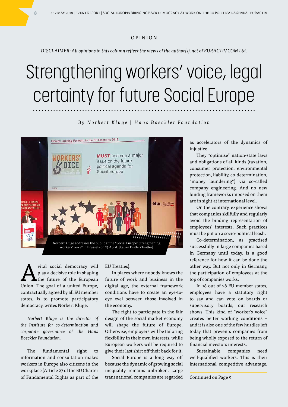#### OPINION

*DISCLAIMER: All opinions in this column reflect the views of the author(s), not of EURACTIV.COM Ltd.*

## Strengthening workers' voice, legal certainty for future Social Europe

#### *By Norbert Kluge | Hans Boeckler Foundation*



vital social democracy will play a decisive role in shaping the future of the European Union. The goal of a united Europe, contractually agreed by all EU member states, is to promote participatory democracy, writes Norbert Kluge.

*Norbert Kluge is the director of the Institute for co-determination and corporate governance of the Hans Boeckler Foundation.*

The fundamental right to information and consultation makes workers in Europe also citizens in the workplace (Article 27 of the EU Charter of Fundamental Rights as part of the EU Treaties).

In places where nobody knows the future of work and business in the digital age, the external framework conditions have to create an eye-toeye-level between those involved in the economy.

The right to participate in the fair design of the social market economy will shape the future of Europe. Otherwise, employers will be tailoring flexibility in their own interests, while European workers will be required to give their last shirt off their back for it.

Social Europe is a long way off because the dynamic of growing social inequality remains unbroken. Large transnational companies are regarded

as accelerators of the dynamics of injustice.

They "optimise" nation-state laws and obligations of all kinds (taxation, consumer protection, environmental protection, liability, co-determination, "money laundering") via so-called company engineering. And no new binding frameworks imposed on them are in sight at international level.

On the contrary, experience shows that companies skilfully and regularly avoid the binding representation of employees' interests. Such practices must be put on a socio-political leash.

Co-determination, as practised successfully in large companies based in Germany until today, is a good reference for how it can be done the other way. But not only in Germany, the participation of employees at the top of companies works.

In 18 out of 28 EU member states, employees have a statutory right to say and can vote on boards or supervisory boards, our research shows. This kind of "worker's voice" creates better working conditions – and it is also one of the few hurdles left today that prevents companies from being wholly exposed to the return of financial investors interests.

Sustainable companies need well-qualified workers. This is their international competitive advantage,

Continued on Page 9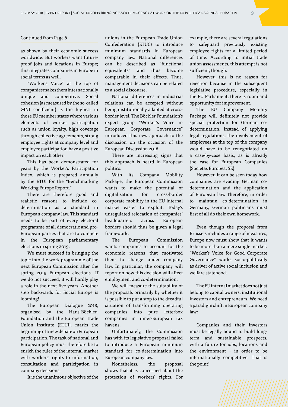#### Continued from Page 8

as shown by their economic success worldwide. But workers want futureproof jobs and locations in Europe; this integrates companies in Europe in social terms as well.

"Worker's Voice" at the top of companies makes them internationally unique and competitive. Social cohesion (as measured by the so-called GINI coefficient) is the highest in those EU member states where various elements of worker participation such as union loyalty, high coverage through collective agreements, strong employee rights at company level and employee participation have a positive impact on each other.

This has been demonstrated for years by the Worker's Participation Index, which is prepared annually by the ETUI for the "Benchmarking Working Europe Report."

There are therefore good and realistic reasons to include codetermination as a standard in European company law. This standard needs to be part of every electoral programme of all democratic and pro-European parties that are to compete in the European parliamentary elections in spring 2019.

We must succeed in bringing the topic into the work programme of the next European Commission after the spring 2019 European elections. If we do not succeed, it will hardly play a role in the next five years. Another step backwards for Social Europe is looming!

The European Dialogue 2018, organised by the Hans-Böckler-Foundation and the European Trade Union Institute (ETUI), marks the beginning of a new debate on European participation. The task of national and European policy must therefore be to enrich the rules of the internal market with workers' rights to information, consultation and participation in company decisions.

It is the unanimous objective of the

unions in the European Trade Union Confederation (ETUC) to introduce minimum standards in European company law. National differences can be described as "functional equivalents" and thus become comparable in their effects. Thus, management decisions can be related to a social discourse.

National differences in industrial relations can be accepted without being institutionally adapted at crossborder level. The Böckler Foundation's expert group "Worker's Voice in European Corporate Governance" introduced this new approach to the discussion on the occasion of the European Discussion 2018.

There are increasing signs that this approach is heard in European politics.

With its Company Mobility Package, the European Commission wants to make the potential of digitalisation for cross-border corporate mobility in the EU internal market easier to exploit. Today's unregulated relocation of companies' headquarters across European borders should thus be given a legal framework.

The European Commission wants companies to account for the economic reasons that motivated them to change under company law. In particular, the company will report on how this decision will affect employment and co-determination.

We will measure the suitability of the proposals primarily by whether it is possible to put a stop to the dreadful situation of transforming operating companies into pure letterbox companies in inner-European tax havens.

Unfortunately, the Commission has with its legislative proposal failed to introduce a European minimum standard for co-determination into European company law.

Nonetheless, the proposal shows that it is concerned about the protection of workers' rights. For example, there are several regulations to safeguard previously existing employee rights for a limited period of time. According to initial trade union assessments, this attempt is not sufficient, though.

However, this is no reason for rejection because in the subsequent legislative procedure, especially in the EU Parliament, there is room and opportunity for improvement.

The EU Company Mobility Package will definitely not provide special protection for German codetermination. Instead of applying legal regulations, the involvement of employees at the top of the company would have to be renegotiated on a case-by-case basis, as is already the case for European Companies (Societas Europea, SE).

However, it can be seen today how companies are evading German codetermination and the application of European law. Therefore, in order to maintain co-determination in Germany, German politicians must first of all do their own homework.

Even though the proposal from Brussels includes a range of measures, Europe now must show that it wants to be more than a mere single market. "Worker's Voice for Good Corporate Governance" works socio-politically as driver of active social inclusion and welfare statehood.

The EU internal market does not just belong to capital owners, institutional investors and entrepreneurs. We need a paradigm shift in European company law:

Companies and their investors must be legally bound to build longterm and sustainable prospects, with a future for jobs, locations and the environment – in order to be internationally competitive. That is the point!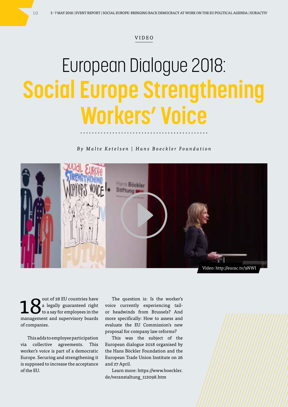#### VIDEO

# European Dialogue 2018: **Social Europe Strengthening Workers' Voice**

*By Malte Ketelsen | Hans Boeckler Foundation*



 $\mathbf{18}^{\text{out of 28 EU countries have}}$  to a say for employees in the a legally guaranteed right to a say for employees in the management and supervisory boards of companies.

This adds to employee participation via collective agreements. This worker's voice is part of a democratic Europe. Securing and strengthening it is supposed to increase the acceptance of the EU.

The question is: Is the worker's voice currently experiencing tailor headwinds from Brussels? And more specifically: How to assess and evaluate the EU Commission's new proposal for company law reforms?

This was the subject of the European dialogue 2018 organised by the Hans Böckler Foundation and the European Trade Union Institute on 26 and 27 April.

Learn more: https://www.boeckler. de/veranstaltung\_112098.htm